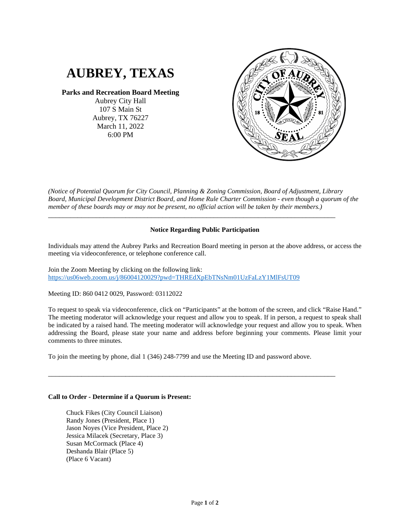# **AUBREY, TEXAS**

### **Parks and Recreation Board Meeting**

Aubrey City Hall 107 S Main St Aubrey, TX 76227 March 11, 2022 6:00 PM



*(Notice of Potential Quorum for City Council, Planning & Zoning Commission, Board of Adjustment, Library Board, Municipal Development District Board, and Home Rule Charter Commission - even though a quorum of the member of these boards may or may not be present, no official action will be taken by their members.)*

\_\_\_\_\_\_\_\_\_\_\_\_\_\_\_\_\_\_\_\_\_\_\_\_\_\_\_\_\_\_\_\_\_\_\_\_\_\_\_\_\_\_\_\_\_\_\_\_\_\_\_\_\_\_\_\_\_\_\_\_\_\_\_\_\_\_\_\_\_\_\_\_\_\_\_\_\_\_

## **Notice Regarding Public Participation**

Individuals may attend the Aubrey Parks and Recreation Board meeting in person at the above address, or access the meeting via videoconference, or telephone conference call.

Join the Zoom Meeting by clicking on the following link: <https://us06web.zoom.us/j/86004120029?pwd=THREdXpEbTNsNm01UzFaLzY1MlFsUT09>

Meeting ID: 860 0412 0029, Password: 03112022

To request to speak via videoconference, click on "Participants" at the bottom of the screen, and click "Raise Hand." The meeting moderator will acknowledge your request and allow you to speak. If in person, a request to speak shall be indicated by a raised hand. The meeting moderator will acknowledge your request and allow you to speak. When addressing the Board, please state your name and address before beginning your comments. Please limit your comments to three minutes.

To join the meeting by phone, dial 1 (346) 248-7799 and use the Meeting ID and password above.

\_\_\_\_\_\_\_\_\_\_\_\_\_\_\_\_\_\_\_\_\_\_\_\_\_\_\_\_\_\_\_\_\_\_\_\_\_\_\_\_\_\_\_\_\_\_\_\_\_\_\_\_\_\_\_\_\_\_\_\_\_\_\_\_\_\_\_\_\_\_\_\_\_\_\_\_\_\_

#### **Call to Order - Determine if a Quorum is Present:**

Chuck Fikes (City Council Liaison) Randy Jones (President, Place 1) Jason Noyes (Vice President, Place 2) Jessica Milacek (Secretary, Place 3) Susan McCormack (Place 4) Deshanda Blair (Place 5) (Place 6 Vacant)